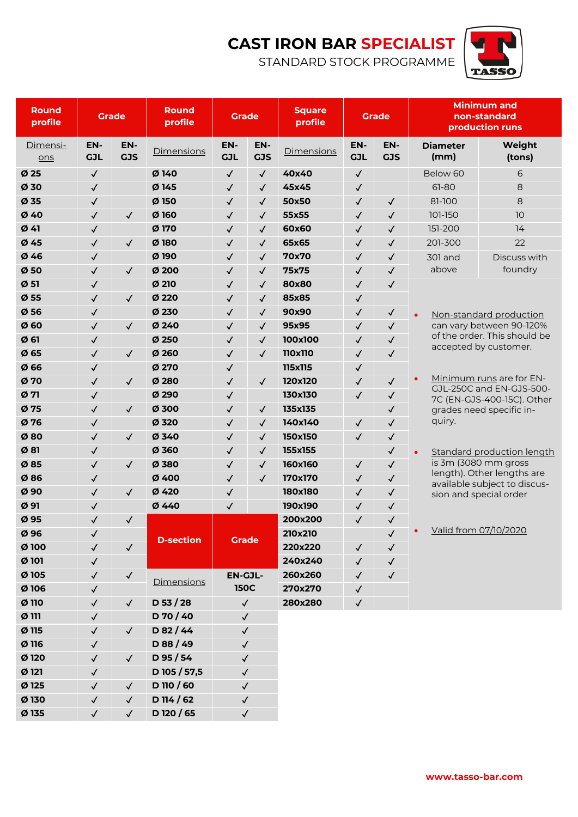## **CAST IRON BAR SPECIALIST**

STANDARD STOCK PROGRAMME



| Round<br>profile | <b>Grade</b>      |                   | Round<br>profile | <b>Grade</b>                                  |                   | <b>Square</b><br>profile | <b>Grade</b>      |                   | <b>Minimum and</b><br>non-standard<br>production runs |                                                                                      |  |
|------------------|-------------------|-------------------|------------------|-----------------------------------------------|-------------------|--------------------------|-------------------|-------------------|-------------------------------------------------------|--------------------------------------------------------------------------------------|--|
| Dimensi-<br>ons  | EN-<br><b>GJL</b> | EN-<br><b>GJS</b> | Dimensions       | EN-<br><b>GJL</b>                             | EN-<br><b>GJS</b> | Dimensions               | EN-<br><b>GJL</b> | EN-<br><b>GJS</b> | <b>Diameter</b><br>(mm)                               | Weight<br>(tons)                                                                     |  |
| Ø <sub>25</sub>  | $\checkmark$      |                   | Ø140             | $\checkmark$                                  | $\checkmark$      | 40x40                    | $\checkmark$      |                   | Below 60                                              | 6                                                                                    |  |
| Ø 30             | $\checkmark$      |                   | Ø 145            | $\checkmark$                                  | $\checkmark$      | 45x45                    | $\checkmark$      |                   | $61 - 80$                                             | 8                                                                                    |  |
| Ø35              | $\checkmark$      |                   | $Ø$ 150          | $\checkmark$                                  | $\checkmark$      | 50x50                    | $\checkmark$      | $\checkmark$      | 81-100                                                | 8                                                                                    |  |
| Ø40              | $\checkmark$      | $\checkmark$      | Ø 160            | $\checkmark$                                  | $\checkmark$      | 55x55                    | $\checkmark$      | $\checkmark$      | 101-150                                               | 10                                                                                   |  |
| $Ø$ 41           | $\checkmark$      |                   | Ø 170            | $\checkmark$                                  | $\checkmark$      | 60x60                    | $\checkmark$      | $\checkmark$      | 151-200                                               | 14                                                                                   |  |
| Ø45              | $\checkmark$      | $\checkmark$      | Ø180             | $\checkmark$                                  | $\checkmark$      | 65x65                    | $\checkmark$      | $\checkmark$      | 201-300                                               | 22                                                                                   |  |
| Ø46              | $\checkmark$      |                   | Ø 190            | $\checkmark$                                  | $\checkmark$      | 70x70                    | $\checkmark$      | $\checkmark$      | <b>301 and</b>                                        | Discuss with                                                                         |  |
| Ø50              | $\checkmark$      | $\checkmark$      | $Ø$ 200          | $\checkmark$                                  | $\checkmark$      | 75x75                    | $\checkmark$      | $\checkmark$      | above                                                 | foundry                                                                              |  |
| Ø51              | $\checkmark$      |                   | Ø 210            | $\checkmark$                                  | $\checkmark$      | 80x80                    | $\checkmark$      | $\checkmark$      |                                                       |                                                                                      |  |
| Ø55              | $\checkmark$      | $\checkmark$      | Ø 220            | $\checkmark$                                  | $\checkmark$      | 85x85                    | $\checkmark$      |                   |                                                       |                                                                                      |  |
| Ø56              | $\checkmark$      |                   | Ø 230            | $\checkmark$                                  | $\checkmark$      | 90x90                    | $\checkmark$      | $\checkmark$      | $\bullet$                                             | Non-standard production                                                              |  |
| $Ø$ 60           | $\checkmark$      | $\checkmark$      | Ø 240            | $\checkmark$                                  | $\checkmark$      | 95x95                    | $\checkmark$      | $\checkmark$      |                                                       | can vary between 90-120%                                                             |  |
| $Ø$ 61           | $\checkmark$      |                   | Ø 250            | $\checkmark$                                  | $\checkmark$      | 100x100                  | $\checkmark$      | $\checkmark$      |                                                       | of the order. This should be                                                         |  |
| Ø <sub>65</sub>  | $\checkmark$      | $\checkmark$      | Ø 260            | $\checkmark$                                  | $\checkmark$      | 110x110                  | $\checkmark$      | $\checkmark$      |                                                       | accepted by customer.                                                                |  |
| Ø <sub>66</sub>  | $\checkmark$      |                   | Ø 270            | $\checkmark$                                  |                   | 115x115                  | $\checkmark$      |                   |                                                       |                                                                                      |  |
| Ø 70             | $\checkmark$      | $\checkmark$      | Ø 280            | $\checkmark$                                  | $\checkmark$      | 120x120                  | $\checkmark$      | $\checkmark$      | Minimum runs are for EN-                              |                                                                                      |  |
| $Ø$ 71           | $\checkmark$      |                   | Ø 290            | $\checkmark$                                  |                   | 130x130                  | $\checkmark$      | $\checkmark$      |                                                       | GJL-250C and EN-GJS-500-<br>7C (EN-GJS-400-15C). Other                               |  |
| Ø 75             | $\checkmark$      | $\checkmark$      | Ø 300            | $\checkmark$                                  | $\checkmark$      | 135x135                  |                   | $\checkmark$      | grades need specific in-                              |                                                                                      |  |
| Ø 76             | $\checkmark$      |                   | Ø 320            | $\checkmark$                                  | $\checkmark$      | 140x140                  | $\checkmark$      | $\checkmark$      | quiry.                                                |                                                                                      |  |
| $Ø$ 80           | $\checkmark$      | $\checkmark$      | Ø 340            | $\checkmark$                                  | $\checkmark$      | 150x150                  | $\checkmark$      | $\checkmark$      |                                                       |                                                                                      |  |
| $Ø$ 81           | $\checkmark$      |                   | Ø 360            | $\checkmark$                                  | $\checkmark$      | 155x155                  |                   | $\checkmark$      |                                                       | <b>Standard production length</b>                                                    |  |
| Ø85              | $\checkmark$      | $\checkmark$      | Ø 380            | $\checkmark$<br>$\checkmark$                  |                   | 160x160                  | $\checkmark$      | $\checkmark$      |                                                       | is 3m (3080 mm gross                                                                 |  |
| Ø86              | $\checkmark$      |                   | Ø 400            | $\checkmark$                                  | $\checkmark$      | 170x170                  | $\checkmark$      | $\checkmark$      |                                                       | length). Other lengths are<br>available subject to discus-<br>sion and special order |  |
| Ø90              | $\checkmark$      | $\checkmark$      | Ø 420            | $\checkmark$                                  |                   | 180x180                  | $\checkmark$      | $\checkmark$      |                                                       |                                                                                      |  |
| Ø 91             | $\checkmark$      |                   | Ø 440            | $\checkmark$                                  |                   | 190x190                  | $\checkmark$      | $\checkmark$      |                                                       |                                                                                      |  |
| Ø95              | ✓                 | $\checkmark$      |                  |                                               |                   | 200x200                  | $\checkmark$      | $\checkmark$      |                                                       |                                                                                      |  |
| Ø 96             | $\checkmark$      |                   | <b>D-section</b> |                                               |                   | 210x210                  |                   | $\checkmark$      | Valid from 07/10/2020                                 |                                                                                      |  |
| Ø 100            | $\checkmark$      | $\checkmark$      |                  | <b>Grade</b>                                  |                   | 220x220                  | $\checkmark$      | $\checkmark$      |                                                       |                                                                                      |  |
| Ø 101            | $\checkmark$      |                   |                  |                                               |                   | 240x240                  | $\checkmark$      | $\checkmark$      |                                                       |                                                                                      |  |
| Ø 105            | $\checkmark$      | $\checkmark$      |                  | <b>EN-GJL-</b><br><b>150C</b><br>$\checkmark$ |                   | 260x260                  | $\checkmark$      | $\checkmark$      |                                                       |                                                                                      |  |
| Ø 106            | $\checkmark$      |                   | Dimensions       |                                               |                   | 270x270                  | $\checkmark$      |                   |                                                       |                                                                                      |  |
| Ø 110            | $\checkmark$      | $\checkmark$      | $D$ 53 / 28      |                                               |                   | 280x280                  | $\checkmark$      |                   |                                                       |                                                                                      |  |
| $Ø$ 111          | $\checkmark$      |                   | D 70 / 40        | $\checkmark$                                  |                   |                          |                   |                   |                                                       |                                                                                      |  |
| Ø 115            | $\checkmark$      | $\checkmark$      | D 82 / 44        | $\checkmark$                                  |                   |                          |                   |                   |                                                       |                                                                                      |  |
| Ø 116            | $\checkmark$      |                   | D 88 / 49        | $\checkmark$                                  |                   |                          |                   |                   |                                                       |                                                                                      |  |
| Ø 120            | $\checkmark$      | $\checkmark$      | D 95 / 54        | $\checkmark$                                  |                   |                          |                   |                   |                                                       |                                                                                      |  |
| Ø 121            | $\checkmark$      |                   | D 105 / 57,5     | $\checkmark$                                  |                   |                          |                   |                   |                                                       |                                                                                      |  |
| Ø 125            | $\checkmark$      | $\checkmark$      | D 110 / 60       | $\checkmark$                                  |                   |                          |                   |                   |                                                       |                                                                                      |  |
| Ø 130            | $\checkmark$      | $\checkmark$      | D 114 / 62       | $\checkmark$                                  |                   |                          |                   |                   |                                                       |                                                                                      |  |
| Ø 135            | $\checkmark$      | $\checkmark$      | D 120 / 65       | $\checkmark$                                  |                   |                          |                   |                   |                                                       |                                                                                      |  |